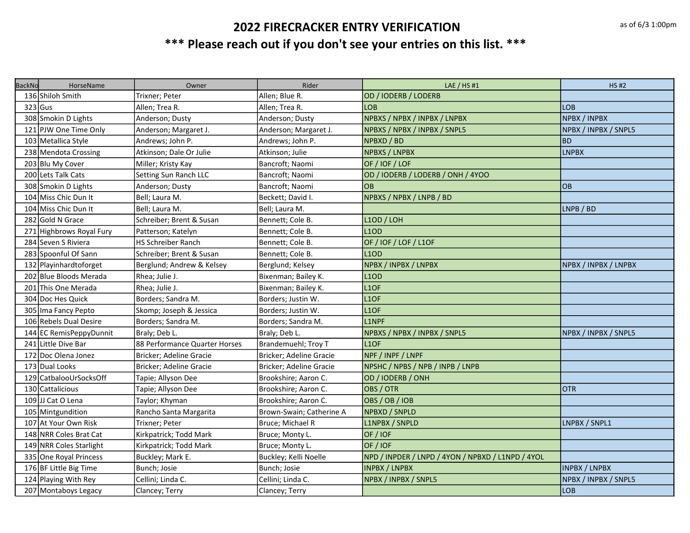| <b>BackNo</b> | HorseName                | Owner                         | Rider                    | LAE / HS #1                                       | <b>HS#2</b>          |
|---------------|--------------------------|-------------------------------|--------------------------|---------------------------------------------------|----------------------|
|               | 136 Shiloh Smith         | Trixner; Peter                | Allen; Blue R.           | OD / IODERB / LODERB                              |                      |
| $323$ Gus     |                          | Allen; Trea R.                | Allen; Trea R.           | <b>LOB</b>                                        | <b>LOB</b>           |
|               | 308 Smokin D Lights      | Anderson; Dusty               | Anderson; Dusty          | NPBXS / NPBX / INPBX / LNPBX                      | NPBX / INPBX         |
|               | 121 PJW One Time Only    | Anderson; Margaret J.         | Anderson; Margaret J.    | NPBXS / NPBX / INPBX / SNPL5                      | NPBX / INPBX / SNPL5 |
|               | 103 Metallica Style      | Andrews; John P.              | Andrews; John P.         | NPBXD / BD                                        | <b>BD</b>            |
|               | 238 Mendota Crossing     | Atkinson; Dale Or Julie       | Atkinson; Julie          | NPBXS / LNPBX                                     | <b>LNPBX</b>         |
|               | 203 Blu My Cover         | Miller; Kristy Kay            | Bancroft; Naomi          | OF / IOF / LOF                                    |                      |
|               | 200 Lets Talk Cats       | Setting Sun Ranch LLC         | Bancroft; Naomi          | OD / IODERB / LODERB / ONH / 4YOO                 |                      |
|               | 308 Smokin D Lights      | Anderson; Dusty               | Bancroft; Naomi          | <b>OB</b>                                         | <b>OB</b>            |
|               | 104 Miss Chic Dun It     | Bell; Laura M.                | Beckett; David I.        | NPBXS / NPBX / LNPB / BD                          |                      |
|               | 104 Miss Chic Dun It     | Bell; Laura M.                | Bell; Laura M.           |                                                   | LNPB / BD            |
|               | 282 Gold N Grace         | Schreiber; Brent & Susan      | Bennett; Cole B.         | L1OD / LOH                                        |                      |
|               | 271 Highbrows Royal Fury | Patterson; Katelyn            | Bennett; Cole B.         | <b>L1OD</b>                                       |                      |
|               | 284 Seven S Riviera      | <b>HS Schreiber Ranch</b>     | Bennett; Cole B.         | OF / IOF / LOF / L1OF                             |                      |
|               | 283 Spoonful Of Sann     | Schreiber; Brent & Susan      | Bennett; Cole B.         | <b>L1OD</b>                                       |                      |
|               | 132 Playinhardtoforget   | Berglund; Andrew & Kelsey     | Berglund; Kelsey         | NPBX / INPBX / LNPBX                              | NPBX / INPBX / LNPBX |
|               | 202 Blue Bloods Merada   | Rhea; Julie J.                | Bixenman; Bailey K.      | <b>L1OD</b>                                       |                      |
|               | 201 This One Merada      | Rhea; Julie J.                | Bixenman; Bailey K.      | L1OF                                              |                      |
|               | 304 Doc Hes Quick        | Borders; Sandra M.            | Borders; Justin W.       | L1OF                                              |                      |
|               | 305 Ima Fancy Pepto      | Skomp; Joseph & Jessica       | Borders; Justin W.       | L1OF                                              |                      |
|               | 106 Rebels Dual Desire   | Borders; Sandra M.            | Borders; Sandra M.       | L1NPF                                             |                      |
|               | 144 EC RemisPeppyDunnit  | Braly; Deb L.                 | Braly; Deb L.            | NPBXS / NPBX / INPBX / SNPL5                      | NPBX / INPBX / SNPL5 |
|               | 241 Little Dive Bar      | 88 Performance Quarter Horses | Brandemuehl; Troy T      | L1OF                                              |                      |
|               | 172 Doc Olena Jonez      | Bricker; Adeline Gracie       | Bricker; Adeline Gracie  | NPF / INPF / LNPF                                 |                      |
|               | 173 Dual Looks           | Bricker; Adeline Gracie       | Bricker; Adeline Gracie  | NPSHC / NPBS / NPB / INPB / LNPB                  |                      |
|               | 129 CatbalooUrSocksOff   | Tapie; Allyson Dee            | Brookshire; Aaron C.     | OD / IODERB / ONH                                 |                      |
|               | 130 Cattalicious         | Tapie; Allyson Dee            | Brookshire; Aaron C.     | OBS / OTR                                         | <b>OTR</b>           |
|               | 109 JJ Cat O Lena        | Taylor; Khyman                | Brookshire; Aaron C.     | OBS / OB / IOB                                    |                      |
|               | 105 Mintgundition        | Rancho Santa Margarita        | Brown-Swain; Catherine A | NPBXD / SNPLD                                     |                      |
|               | 107 At Your Own Risk     | Trixner; Peter                | Bruce; Michael R         | L1NPBX / SNPLD                                    | LNPBX / SNPL1        |
|               | 148 NRR Coles Brat Cat   | Kirkpatrick; Todd Mark        | Bruce; Monty L.          | OF/IOF                                            |                      |
|               | 149 NRR Coles Starlight  | Kirkpatrick; Todd Mark        | Bruce; Monty L.          | OF / IOF                                          |                      |
|               | 335 One Royal Princess   | Buckley; Mark E.              | Buckley; Kelli Noelle    | NPD / INPDER / LNPD / 4YON / NPBXD / L1NPD / 4YOL |                      |
|               | 176 BF Little Big Time   | Bunch; Josie                  | Bunch; Josie             | <b>INPBX / LNPBX</b>                              | <b>INPBX / LNPBX</b> |
|               | 124 Playing With Rey     | Cellini; Linda C.             | Cellini; Linda C.        | NPBX / INPBX / SNPL5                              | NPBX / INPBX / SNPL5 |
|               | 207 Montaboys Legacy     | Clancey; Terry                | Clancey; Terry           |                                                   | <b>LOB</b>           |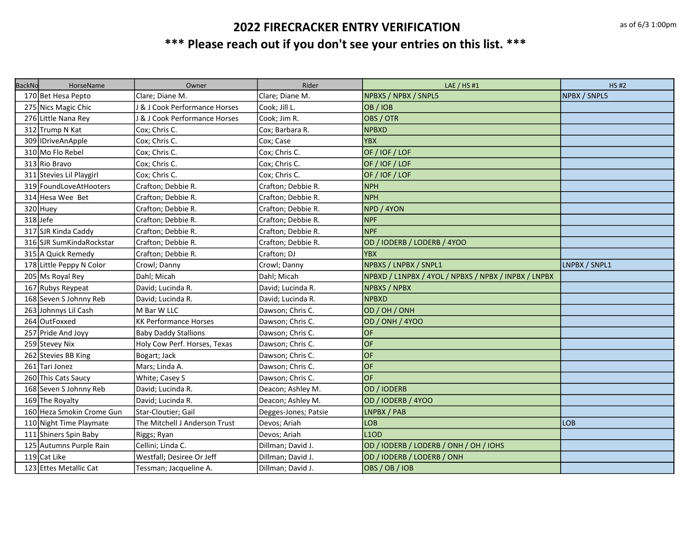| <b>BackNo</b> | HorseName                 | Owner                         | Rider                | LAE / HS #1                                          | <b>HS#2</b>   |
|---------------|---------------------------|-------------------------------|----------------------|------------------------------------------------------|---------------|
|               | 170 Bet Hesa Pepto        | Clare; Diane M.               | Clare; Diane M.      | NPBXS / NPBX / SNPL5                                 | NPBX / SNPL5  |
|               | 275 Nics Magic Chic       | & J Cook Performance Horses   | Cook; Jill L.        | OB / IOB                                             |               |
|               | 276 Little Nana Rey       | & J Cook Performance Horses   | Cook; Jim R.         | OBS / OTR                                            |               |
|               | 312 Trump N Kat           | Cox; Chris C.                 | Cox; Barbara R.      | <b>NPBXD</b>                                         |               |
|               | 309 IDriveAnApple         | Cox; Chris C.                 | Cox; Case            | <b>YBX</b>                                           |               |
|               | 310 Mo Flo Rebel          | Cox; Chris C.                 | Cox; Chris C.        | OF / IOF / LOF                                       |               |
|               | 313 Rio Bravo             | Cox; Chris C.                 | Cox; Chris C.        | OF / IOF / LOF                                       |               |
|               | 311 Stevies Lil Playgirl  | Cox; Chris C.                 | Cox; Chris C.        | OF / IOF / LOF                                       |               |
|               | 319 Found Love At Hooters | Crafton; Debbie R.            | Crafton; Debbie R.   | <b>NPH</b>                                           |               |
|               | 314 Hesa Wee Bet          | Crafton; Debbie R.            | Crafton; Debbie R.   | <b>NPH</b>                                           |               |
|               | 320 Huey                  | Crafton; Debbie R.            | Crafton; Debbie R.   | NPD / 4YON                                           |               |
|               | 318Jefe                   | Crafton; Debbie R.            | Crafton; Debbie R.   | <b>NPF</b>                                           |               |
|               | 317 SJR Kinda Caddy       | Crafton; Debbie R.            | Crafton; Debbie R.   | <b>NPF</b>                                           |               |
|               | 316 SJR SumKindaRockstar  | Crafton; Debbie R.            | Crafton; Debbie R.   | OD / IODERB / LODERB / 4YOO                          |               |
|               | 315 A Quick Remedy        | Crafton; Debbie R.            | Crafton; DJ          | <b>YBX</b>                                           |               |
|               | 178 Little Peppy N Color  | Crowl; Danny                  | Crowl; Danny         | NPBXS / LNPBX / SNPL1                                | LNPBX / SNPL1 |
|               | 205 Ms Royal Rey          | Dahl; Micah                   | Dahl; Micah          | NPBXD / L1NPBX / 4YOL / NPBXS / NPBX / INPBX / LNPBX |               |
|               | 167 Rubys Reypeat         | David; Lucinda R.             | David; Lucinda R.    | <b>NPBXS / NPBX</b>                                  |               |
|               | 168 Seven S Johnny Reb    | David; Lucinda R.             | David; Lucinda R.    | <b>NPBXD</b>                                         |               |
|               | 263 Johnnys Lil Cash      | lM Bar W LLC                  | Dawson; Chris C.     | OD / OH / ONH                                        |               |
|               | 264 OutFoxxed             | <b>KK Performance Horses</b>  | Dawson; Chris C.     | OD / ONH / 4YOO                                      |               |
|               | 257 Pride And Joyy        | <b>Baby Daddy Stallions</b>   | Dawson; Chris C.     | <b>OF</b>                                            |               |
|               | 259 Stevey Nix            | Holy Cow Perf. Horses, Texas  | Dawson; Chris C.     | <b>OF</b>                                            |               |
|               | 262 Stevies BB King       | Bogart; Jack                  | Dawson; Chris C.     | OF                                                   |               |
|               | 261 Tari Jonez            | Mars; Linda A.                | Dawson; Chris C.     | lof                                                  |               |
|               | 260 This Cats Saucy       | White; Casey S                | Dawson; Chris C.     | lof                                                  |               |
|               | 168 Seven S Johnny Reb    | David; Lucinda R.             | Deacon; Ashley M.    | OD / IODERB                                          |               |
|               | 169 The Royalty           | David; Lucinda R.             | Deacon; Ashley M.    | OD / IODERB / 4YOO                                   |               |
|               | 160 Heza Smokin Crome Gun | Star-Cloutier; Gail           | Degges-Jones; Patsie | LNPBX / PAB                                          |               |
|               | 110 Night Time Playmate   | The Mitchell J Anderson Trust | Devos; Ariah         | LOB                                                  | <b>LOB</b>    |
|               | 111 Shiners Spin Baby     | Riggs; Ryan                   | Devos; Ariah         | <b>L1OD</b>                                          |               |
|               | 125 Autumns Purple Rain   | Cellini; Linda C.             | Dillman; David J.    | OD / IODERB / LODERB / ONH / OH / IOHS               |               |
|               | 119 Cat Like              | Westfall; Desiree Or Jeff     | Dillman; David J.    | OD / IODERB / LODERB / ONH                           |               |
|               | 123 Ettes Metallic Cat    | Tessman; Jacqueline A.        | Dillman; David J.    | OBS / OB / IOB                                       |               |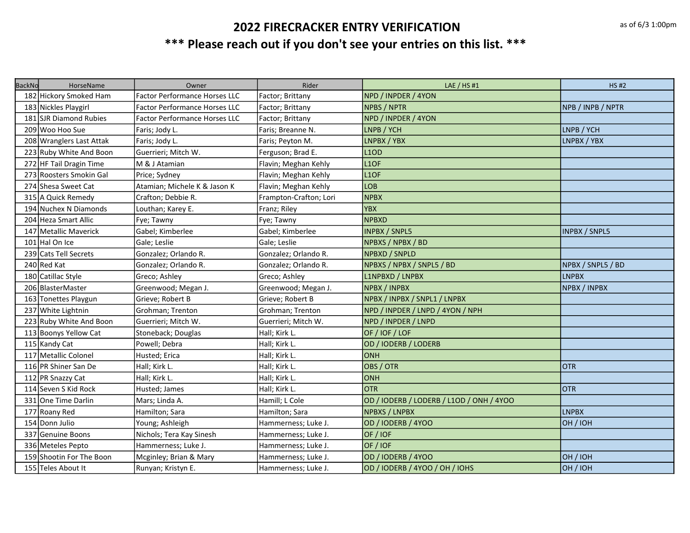| <b>BackNo</b> | HorseName                | Owner                                | Rider                  | LAE / $HS$ #1                            | <b>HS#2</b>          |
|---------------|--------------------------|--------------------------------------|------------------------|------------------------------------------|----------------------|
|               | 182 Hickory Smoked Ham   | <b>Factor Performance Horses LLC</b> | Factor; Brittany       | NPD / INPDER / 4YON                      |                      |
|               | 183 Nickles Playgirl     | <b>Factor Performance Horses LLC</b> | Factor; Brittany       | <b>NPBS / NPTR</b>                       | NPB / INPB / NPTR    |
|               | 181 SJR Diamond Rubies   | <b>Factor Performance Horses LLC</b> | Factor; Brittany       | NPD / INPDER / 4YON                      |                      |
|               | 209 Woo Hoo Sue          | Faris; Jody L.                       | Faris; Breanne N.      | LNPB / YCH                               | LNPB / YCH           |
|               | 208 Wranglers Last Attak | Faris; Jody L.                       | Faris; Peyton M.       | LNPBX / YBX                              | LNPBX / YBX          |
|               | 223 Ruby White And Boon  | Guerrieri; Mitch W.                  | Ferguson; Brad E.      | L <sub>1</sub> OD                        |                      |
|               | 272 HF Tail Dragin Time  | M & J Atamian                        | Flavin; Meghan Kehly   | L <sub>1OF</sub>                         |                      |
|               | 273 Roosters Smokin Gal  | Price; Sydney                        | Flavin; Meghan Kehly   | L <sub>1OF</sub>                         |                      |
|               | 274 Shesa Sweet Cat      | Atamian; Michele K & Jason K         | Flavin; Meghan Kehly   | LOB                                      |                      |
|               | 315 A Quick Remedy       | Crafton; Debbie R.                   | Frampton-Crafton; Lori | <b>NPBX</b>                              |                      |
|               | 194 Nuchex N Diamonds    | Louthan; Karey E.                    | Franz; Riley           | <b>YBX</b>                               |                      |
|               | 204 Heza Smart Allic     | Fye; Tawny                           | Fye; Tawny             | <b>NPBXD</b>                             |                      |
|               | 147 Metallic Maverick    | Gabel; Kimberlee                     | Gabel; Kimberlee       | <b>INPBX / SNPL5</b>                     | <b>INPBX / SNPL5</b> |
|               | 101 Hal On Ice           | Gale; Leslie                         | Gale; Leslie           | NPBXS / NPBX / BD                        |                      |
|               | 239 Cats Tell Secrets    | Gonzalez; Orlando R.                 | Gonzalez; Orlando R.   | <b>NPBXD / SNPLD</b>                     |                      |
|               | 240 Red Kat              | Gonzalez; Orlando R.                 | Gonzalez; Orlando R.   | NPBXS / NPBX / SNPL5 / BD                | NPBX / SNPL5 / BD    |
|               | 180 Catillac Style       | Greco; Ashley                        | Greco; Ashley          | L1NPBXD / LNPBX                          | <b>LNPBX</b>         |
|               | 206 BlasterMaster        | Greenwood; Megan J.                  | Greenwood; Megan J.    | <b>NPBX / INPBX</b>                      | NPBX / INPBX         |
|               | 163 Tonettes Playgun     | Grieve; Robert B                     | Grieve; Robert B       | NPBX / INPBX / SNPL1 / LNPBX             |                      |
|               | 237 White Lightnin       | Grohman; Trenton                     | Grohman; Trenton       | NPD / INPDER / LNPD / 4YON / NPH         |                      |
|               | 223 Ruby White And Boon  | Guerrieri; Mitch W.                  | Guerrieri; Mitch W.    | NPD / INPDER / LNPD                      |                      |
|               | 113 Boonys Yellow Cat    | Stoneback; Douglas                   | Hall; Kirk L.          | OF / IOF / LOF                           |                      |
|               | 115 Kandy Cat            | Powell; Debra                        | Hall; Kirk L.          | OD / IODERB / LODERB                     |                      |
|               | 117 Metallic Colonel     | Husted; Erica                        | Hall; Kirk L.          | ONH                                      |                      |
|               | 116 PR Shiner San De     | Hall; Kirk L.                        | Hall; Kirk L.          | OBS / OTR                                | <b>OTR</b>           |
|               | 112 PR Snazzy Cat        | Hall; Kirk L.                        | Hall; Kirk L.          | ONH                                      |                      |
|               | 114 Seven S Kid Rock     | Husted; James                        | Hall; Kirk L.          | <b>OTR</b>                               | <b>OTR</b>           |
|               | 331 One Time Darlin      | Mars; Linda A.                       | Hamill; L Cole         | OD / IODERB / LODERB / L1OD / ONH / 4YOO |                      |
|               | 177 Roany Red            | Hamilton; Sara                       | Hamilton; Sara         | <b>NPBXS / LNPBX</b>                     | <b>LNPBX</b>         |
|               | 154 Donn Julio           | Young; Ashleigh                      | Hammerness; Luke J.    | OD / IODERB / 4YOO                       | OH / IOH             |
|               | 337 Genuine Boons        | Nichols; Tera Kay Sinesh             | Hammerness; Luke J.    | OF/IOF                                   |                      |
|               | 336 Meteles Pepto        | Hammerness; Luke J.                  | Hammerness; Luke J.    | OF / IOF                                 |                      |
|               | 159 Shootin For The Boon | Mcginley; Brian & Mary               | Hammerness; Luke J.    | OD / IODERB / 4YOO                       | OH / IOH             |
|               | 155 Teles About It       | Runyan; Kristyn E.                   | Hammerness; Luke J.    | OD / IODERB / 4YOO / OH / IOHS           | OH / IOH             |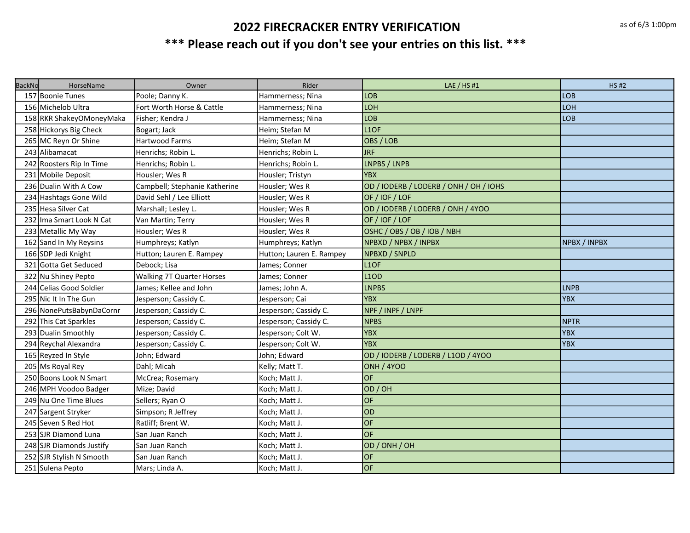| <b>BackNo</b> | HorseName                | Owner                            | Rider                    | LAE / $HS$ #1                          | <b>HS#2</b>  |
|---------------|--------------------------|----------------------------------|--------------------------|----------------------------------------|--------------|
|               | 157 Boonie Tunes         | Poole; Danny K.                  | Hammerness; Nina         | LOB                                    | <b>LOB</b>   |
|               | 156 Michelob Ultra       | Fort Worth Horse & Cattle        | Hammerness; Nina         | LOH                                    | <b>LOH</b>   |
|               | 158 RKR ShakeyOMoneyMaka | Fisher; Kendra J                 | Hammerness; Nina         | LOB                                    | LOB          |
|               | 258 Hickorys Big Check   | Bogart; Jack                     | Heim; Stefan M           | L <sub>1</sub> OF                      |              |
|               | 265 MC Reyn Or Shine     | <b>Hartwood Farms</b>            | Heim; Stefan M           | OBS / LOB                              |              |
|               | 243 Alibamacat           | Henrichs; Robin L.               | Henrichs; Robin L.       | <b>JRF</b>                             |              |
|               | 242 Roosters Rip In Time | Henrichs; Robin L.               | Henrichs; Robin L.       | LNPBS / LNPB                           |              |
|               | 231 Mobile Deposit       | Housler; Wes R                   | Housler; Tristyn         | <b>YBX</b>                             |              |
|               | 236 Dualin With A Cow    | Campbell; Stephanie Katherine    | Housler; Wes R           | OD / IODERB / LODERB / ONH / OH / IOHS |              |
|               | 234 Hashtags Gone Wild   | David Sehl / Lee Elliott         | Housler; Wes R           | OF / IOF / LOF                         |              |
|               | 235 Hesa Silver Cat      | Marshall; Lesley L.              | Housler; Wes R           | OD / IODERB / LODERB / ONH / 4YOO      |              |
|               | 232 Ima Smart Look N Cat | Van Martin; Terry                | Housler; Wes R           | OF / IOF / LOF                         |              |
|               | 233 Metallic My Way      | Housler; Wes R                   | Housler; Wes R           | OSHC / OBS / OB / IOB / NBH            |              |
|               | 162 Sand In My Reysins   | Humphreys; Katlyn                | Humphreys; Katlyn        | NPBXD / NPBX / INPBX                   | NPBX / INPBX |
|               | 166 SDP Jedi Knight      | Hutton; Lauren E. Rampey         | Hutton; Lauren E. Rampey | <b>NPBXD / SNPLD</b>                   |              |
|               | 321 Gotta Get Seduced    | Debock; Lisa                     | James; Conner            | L1OF                                   |              |
|               | 322 Nu Shiney Pepto      | <b>Walking 7T Quarter Horses</b> | James; Conner            | <b>L1OD</b>                            |              |
|               | 244 Celias Good Soldier  | James; Kellee and John           | James; John A.           | <b>LNPBS</b>                           | <b>LNPB</b>  |
|               | 295 Nic It In The Gun    | Jesperson; Cassidy C.            | Jesperson; Cai           | <b>YBX</b>                             | <b>YBX</b>   |
|               | 296 NonePutsBabynDaCornr | Jesperson; Cassidy C.            | Jesperson; Cassidy C.    | NPF / INPF / LNPF                      |              |
|               | 292 This Cat Sparkles    | Jesperson; Cassidy C.            | Jesperson; Cassidy C.    | <b>NPBS</b>                            | <b>INPTR</b> |
|               | 293 Dualin Smoothly      | Jesperson; Cassidy C.            | Jesperson; Colt W.       | <b>YBX</b>                             | <b>YBX</b>   |
|               | 294 Reychal Alexandra    | Jesperson; Cassidy C.            | Jesperson; Colt W.       | <b>YBX</b>                             | <b>YBX</b>   |
|               | 165 Reyzed In Style      | John; Edward                     | John; Edward             | OD / IODERB / LODERB / L1OD / 4YOO     |              |
|               | 205 Ms Royal Rey         | Dahl; Micah                      | Kelly; Matt T.           | <b>ONH / 4YOO</b>                      |              |
|               | 250 Boons Look N Smart   | McCrea; Rosemary                 | Koch; Matt J.            | <b>OF</b>                              |              |
|               | 246 MPH Voodoo Badger    | Mize; David                      | Koch; Matt J.            | OD/OH                                  |              |
|               | 249 Nu One Time Blues    | Sellers; Ryan O                  | Koch; Matt J.            | <b>OF</b>                              |              |
|               | 247 Sargent Stryker      | Simpson; R Jeffrey               | Koch; Matt J.            | OD                                     |              |
|               | 245 Seven S Red Hot      | Ratliff; Brent W.                | Koch; Matt J.            | <b>OF</b>                              |              |
|               | 253 SJR Diamond Luna     | San Juan Ranch                   | Koch; Matt J.            | <b>OF</b>                              |              |
|               | 248 SJR Diamonds Justify | San Juan Ranch                   | Koch; Matt J.            | OD / ONH / OH                          |              |
|               | 252 SJR Stylish N Smooth | San Juan Ranch                   | Koch; Matt J.            | <b>OF</b>                              |              |
|               | 251 Sulena Pepto         | Mars; Linda A.                   | Koch; Matt J.            | <b>OF</b>                              |              |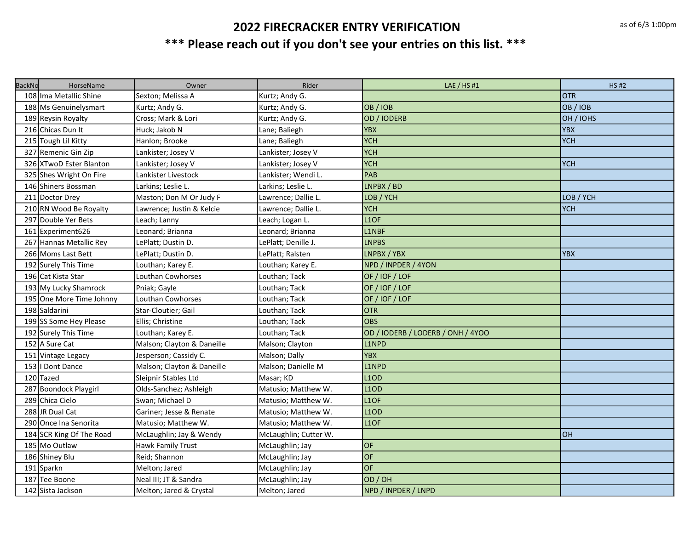| <b>BackNo</b> | HorseName                | Owner                      | Rider                 | LAE $/$ HS #1                     | <b>HS#2</b> |
|---------------|--------------------------|----------------------------|-----------------------|-----------------------------------|-------------|
|               | 108 Ima Metallic Shine   | Sexton; Melissa A          | Kurtz; Andy G.        |                                   | <b>OTR</b>  |
|               | 188 Ms Genuinelysmart    | Kurtz; Andy G.             | Kurtz; Andy G.        | OB / IOB                          | OB / IOB    |
|               | 189 Reysin Royalty       | Cross; Mark & Lori         | Kurtz; Andy G.        | OD / IODERB                       | OH / IOHS   |
|               | 216 Chicas Dun It        | Huck; Jakob N              | Lane; Baliegh         | <b>YBX</b>                        | <b>YBX</b>  |
|               | 215 Tough Lil Kitty      | Hanlon; Brooke             | Lane; Baliegh         | <b>YCH</b>                        | <b>YCH</b>  |
|               | 327 Remenic Gin Zip      | Lankister; Josey V         | Lankister; Josey V    | <b>YCH</b>                        |             |
|               | 326 XTwoD Ester Blanton  | Lankister; Josey V         | Lankister; Josey V    | <b>YCH</b>                        | <b>YCH</b>  |
|               | 325 Shes Wright On Fire  | Lankister Livestock        | Lankister; Wendi L.   | PAB                               |             |
|               | 146 Shiners Bossman      | Larkins; Leslie L.         | Larkins; Leslie L.    | LNPBX / BD                        |             |
|               | 211 Doctor Drey          | Maston; Don M Or Judy F    | Lawrence; Dallie L.   | LOB / YCH                         | LOB / YCH   |
|               | 210 RN Wood Be Royalty   | Lawrence; Justin & Kelcie  | Lawrence; Dallie L.   | <b>YCH</b>                        | <b>YCH</b>  |
|               | 297 Double Yer Bets      | Leach; Lanny               | Leach; Logan L.       | L1OF                              |             |
|               | 161 Experiment626        | Leonard; Brianna           | Leonard; Brianna      | L1NBF                             |             |
|               | 267 Hannas Metallic Rey  | LePlatt; Dustin D.         | LePlatt; Denille J.   | <b>LNPBS</b>                      |             |
|               | 266 Moms Last Bett       | LePlatt; Dustin D.         | LePlatt; Ralsten      | LNPBX / YBX                       | <b>YBX</b>  |
|               | 192 Surely This Time     | Louthan; Karey E.          | Louthan; Karey E.     | NPD / INPDER / 4YON               |             |
|               | 196 Cat Kista Star       | Louthan Cowhorses          | Louthan; Tack         | OF / IOF / LOF                    |             |
|               | 193 My Lucky Shamrock    | Pniak; Gayle               | Louthan; Tack         | OF / IOF / LOF                    |             |
|               | 195 One More Time Johnny | Louthan Cowhorses          | Louthan; Tack         | OF / IOF / LOF                    |             |
|               | 198 Saldarini            | Star-Cloutier; Gail        | Louthan; Tack         | <b>OTR</b>                        |             |
|               | 199 SS Some Hey Please   | Ellis; Christine           | Louthan; Tack         | <b>OBS</b>                        |             |
|               | 192 Surely This Time     | Louthan; Karey E.          | Louthan; Tack         | OD / IODERB / LODERB / ONH / 4YOO |             |
|               | 152 A Sure Cat           | Malson; Clayton & Daneille | Malson; Clayton       | L1NPD                             |             |
|               | 151 Vintage Legacy       | Jesperson; Cassidy C.      | Malson; Dally         | <b>YBX</b>                        |             |
|               | 153   Dont Dance         | Malson; Clayton & Daneille | Malson; Danielle M    | L1NPD                             |             |
|               | 120 Tazed                | Sleipnir Stables Ltd       | Masar; KD             | L <sub>10</sub> D                 |             |
|               | 287 Boondock Playgirl    | Olds-Sanchez; Ashleigh     | Matusio; Matthew W.   | <b>L1OD</b>                       |             |
|               | 289 Chica Cielo          | Swan; Michael D            | Matusio; Matthew W.   | L <sub>1OF</sub>                  |             |
|               | 288 JR Dual Cat          | Gariner; Jesse & Renate    | Matusio; Matthew W.   | L <sub>10</sub> D                 |             |
|               | 290 Once Ina Senorita    | Matusio; Matthew W.        | Matusio; Matthew W.   | L <sub>1OF</sub>                  |             |
|               | 184 SCR King Of The Road | McLaughlin; Jay & Wendy    | McLaughlin; Cutter W. |                                   | <b>OH</b>   |
|               | 185 Mo Outlaw            | <b>Hawk Family Trust</b>   | McLaughlin; Jay       | OF                                |             |
|               | 186 Shiney Blu           | Reid; Shannon              | McLaughlin; Jay       | OF                                |             |
|               | 191 Sparkn               | Melton; Jared              | McLaughlin; Jay       | OF                                |             |
|               | 187 Tee Boone            | Neal III; JT & Sandra      | McLaughlin; Jay       | OD/OH                             |             |
|               | 142 Sista Jackson        | Melton; Jared & Crystal    | Melton; Jared         | NPD / INPDER / LNPD               |             |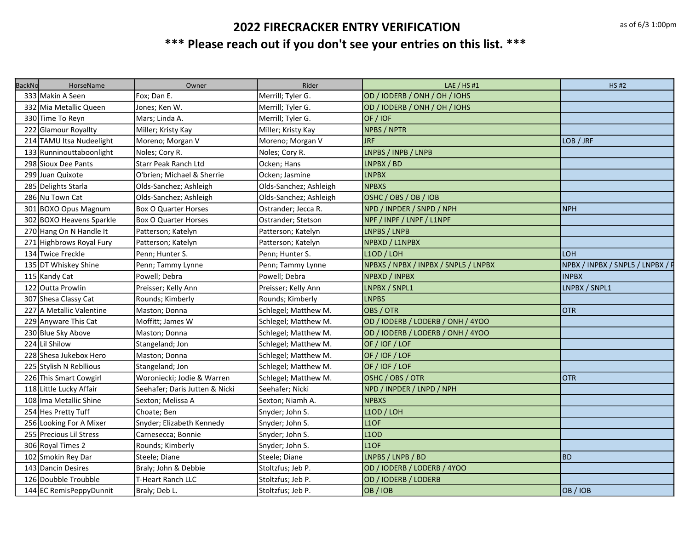| <b>BackNo</b> | HorseName                | Owner                          | Rider                  | LAE / $HS$ #1                        | <b>HS#2</b>                      |
|---------------|--------------------------|--------------------------------|------------------------|--------------------------------------|----------------------------------|
|               | 333 Makin A Seen         | Fox; Dan E.                    | Merrill; Tyler G.      | OD / IODERB / ONH / OH / IOHS        |                                  |
|               | 332 Mia Metallic Queen   | Jones; Ken W.                  | Merrill; Tyler G.      | OD / IODERB / ONH / OH / IOHS        |                                  |
|               | 330 Time To Reyn         | Mars; Linda A.                 | Merrill; Tyler G.      | OF / IOF                             |                                  |
|               | 222 Glamour Royallty     | Miller; Kristy Kay             | Miller; Kristy Kay     | <b>NPBS / NPTR</b>                   |                                  |
|               | 214 TAMU Itsa Nudeelight | Moreno; Morgan V               | Moreno; Morgan V       | JRF                                  | LOB / JRF                        |
|               | 133 Runninouttaboonlight | Noles; Cory R.                 | Noles; Cory R.         | LNPBS / INPB / LNPB                  |                                  |
|               | 298 Sioux Dee Pants      | <b>Starr Peak Ranch Ltd</b>    | Ocken; Hans            | LNPBX / BD                           |                                  |
|               | 299 Juan Quixote         | O'brien; Michael & Sherrie     | Ocken; Jasmine         | <b>LNPBX</b>                         |                                  |
|               | 285 Delights Starla      | Olds-Sanchez; Ashleigh         | Olds-Sanchez; Ashleigh | <b>NPBXS</b>                         |                                  |
|               | 286 Nu Town Cat          | Olds-Sanchez; Ashleigh         | Olds-Sanchez; Ashleigh | OSHC / OBS / OB / IOB                |                                  |
|               | 301 BOXO Opus Magnum     | Box O Quarter Horses           | Ostrander; Jecca R.    | NPD / INPDER / SNPD / NPH            | <b>NPH</b>                       |
|               | 302 BOXO Heavens Sparkle | <b>Box O Quarter Horses</b>    | Ostrander; Stetson     | NPF / INPF / LNPF / L1NPF            |                                  |
|               | 270 Hang On N Handle It  | Patterson; Katelyn             | Patterson; Katelyn     | LNPBS / LNPB                         |                                  |
|               | 271 Highbrows Royal Fury | Patterson; Katelyn             | Patterson; Katelyn     | NPBXD / L1NPBX                       |                                  |
|               | 134 Twice Freckle        | Penn; Hunter S.                | Penn; Hunter S.        | <b>L1OD / LOH</b>                    | <b>LOH</b>                       |
|               | 135 DT Whiskey Shine     | Penn; Tammy Lynne              | Penn; Tammy Lynne      | NPBXS / NPBX / INPBX / SNPL5 / LNPBX | NPBX / INPBX / SNPL5 / LNPBX / I |
|               | 115 Kandy Cat            | Powell; Debra                  | Powell; Debra          | NPBXD / INPBX                        | <b>INPBX</b>                     |
|               | 122 Outta Prowlin        | Preisser; Kelly Ann            | Preisser; Kelly Ann    | LNPBX / SNPL1                        | LNPBX / SNPL1                    |
|               | 307 Shesa Classy Cat     | Rounds; Kimberly               | Rounds; Kimberly       | <b>LNPBS</b>                         |                                  |
|               | 227 A Metallic Valentine | Maston; Donna                  | Schlegel; Matthew M.   | OBS / OTR                            | <b>OTR</b>                       |
|               | 229 Anyware This Cat     | Moffitt; James W               | Schlegel; Matthew M.   | OD / IODERB / LODERB / ONH / 4YOO    |                                  |
|               | 230 Blue Sky Above       | Maston; Donna                  | Schlegel; Matthew M.   | OD / IODERB / LODERB / ONH / 4YOO    |                                  |
|               | 224 Lil Shilow           | Stangeland; Jon                | Schlegel; Matthew M.   | OF / IOF / LOF                       |                                  |
|               | 228 Shesa Jukebox Hero   | Maston; Donna                  | Schlegel; Matthew M.   | OF / IOF / LOF                       |                                  |
|               | 225 Stylish N Rebllious  | Stangeland; Jon                | Schlegel; Matthew M.   | OF / IOF / LOF                       |                                  |
|               | 226 This Smart Cowgirl   | Woroniecki; Jodie & Warren     | Schlegel; Matthew M.   | OSHC / OBS / OTR                     | <b>OTR</b>                       |
|               | 118 Little Lucky Affair  | Seehafer; Daris Jutten & Nicki | Seehafer; Nicki        | NPD / INPDER / LNPD / NPH            |                                  |
|               | 108 Ima Metallic Shine   | Sexton; Melissa A              | Sexton; Niamh A.       | <b>NPBXS</b>                         |                                  |
|               | 254 Hes Pretty Tuff      | Choate; Ben                    | Snyder; John S.        | L1OD / LOH                           |                                  |
|               | 256 Looking For A Mixer  | Snyder; Elizabeth Kennedy      | Snyder; John S.        | L <sub>1OF</sub>                     |                                  |
|               | 255 Precious Lil Stress  | Carnesecca; Bonnie             | Snyder; John S.        | <b>L1OD</b>                          |                                  |
|               | 306 Royal Times 2        | Rounds; Kimberly               | Snyder; John S.        | L <sub>1</sub> OF                    |                                  |
|               | 102 Smokin Rey Dar       | Steele; Diane                  | Steele; Diane          | LNPBS / LNPB / BD                    | <b>BD</b>                        |
|               | 143 Dancin Desires       | Braly; John & Debbie           | Stoltzfus; Jeb P.      | OD / IODERB / LODERB / 4YOO          |                                  |
|               | 126 Doubble Troubble     | T-Heart Ranch LLC              | Stoltzfus; Jeb P.      | OD / IODERB / LODERB                 |                                  |
|               | 144 EC RemisPeppyDunnit  | Braly; Deb L.                  | Stoltzfus; Jeb P.      | OB/IOB                               | OB / IOB                         |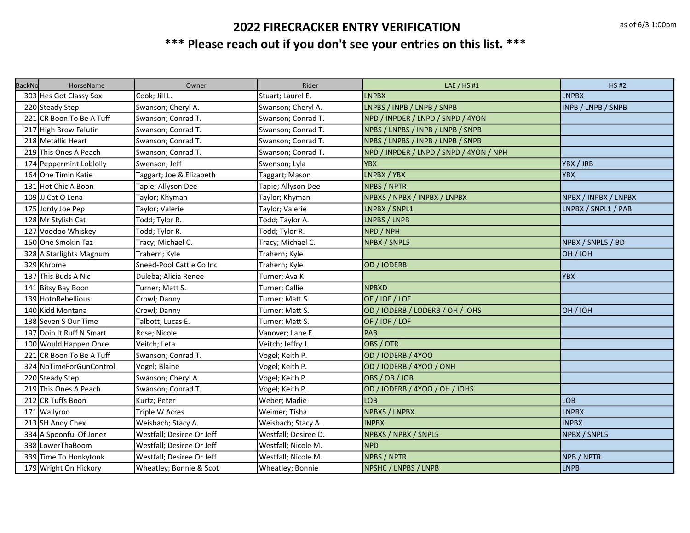| <b>BackNo</b> | HorseName                | Owner                     | Rider                | LAE $/$ HS #1                           | <b>HS#2</b>          |
|---------------|--------------------------|---------------------------|----------------------|-----------------------------------------|----------------------|
|               | 303 Hes Got Classy Sox   | Cook; Jill L.             | Stuart; Laurel E.    | <b>LNPBX</b>                            | <b>LNPBX</b>         |
|               | 220 Steady Step          | Swanson; Cheryl A.        | Swanson; Cheryl A.   | LNPBS / INPB / LNPB / SNPB              | INPB / LNPB / SNPB   |
|               | 221 CR Boon To Be A Tuff | Swanson; Conrad T.        | Swanson; Conrad T.   | NPD / INPDER / LNPD / SNPD / 4YON       |                      |
|               | 217 High Brow Falutin    | Swanson; Conrad T.        | Swanson; Conrad T.   | NPBS / LNPBS / INPB / LNPB / SNPB       |                      |
|               | 218 Metallic Heart       | Swanson; Conrad T.        | Swanson; Conrad T.   | NPBS / LNPBS / INPB / LNPB / SNPB       |                      |
|               | 219 This Ones A Peach    | Swanson; Conrad T.        | Swanson; Conrad T.   | NPD / INPDER / LNPD / SNPD / 4YON / NPH |                      |
|               | 174 Peppermint Loblolly  | Swenson; Jeff             | Swenson; Lyla        | <b>YBX</b>                              | YBX / JRB            |
|               | 164 One Timin Katie      | Taggart; Joe & Elizabeth  | Taggart; Mason       | LNPBX / YBX                             | <b>YBX</b>           |
|               | 131 Hot Chic A Boon      | Tapie; Allyson Dee        | Tapie; Allyson Dee   | <b>NPBS / NPTR</b>                      |                      |
|               | 109 JJ Cat O Lena        | Taylor; Khyman            | Taylor; Khyman       | NPBXS / NPBX / INPBX / LNPBX            | NPBX / INPBX / LNPBX |
|               | 175 Jordy Joe Pep        | Taylor; Valerie           | Taylor; Valerie      | LNPBX / SNPL1                           | LNPBX / SNPL1 / PAB  |
|               | 128 Mr Stylish Cat       | Todd; Tylor R.            | Todd; Taylor A.      | LNPBS / LNPB                            |                      |
|               | 127 Voodoo Whiskey       | Todd; Tylor R.            | Todd; Tylor R.       | NPD / NPH                               |                      |
|               | 150 One Smokin Taz       | Tracy; Michael C.         | Tracy; Michael C.    | NPBX / SNPL5                            | NPBX / SNPL5 / BD    |
|               | 328 A Starlights Magnum  | Trahern; Kyle             | Trahern; Kyle        |                                         | OH / IOH             |
|               | 329 Khrome               | Sneed-Pool Cattle Co Inc  | Trahern; Kyle        | OD / IODERB                             |                      |
|               | 137 This Buds A Nic      | Duleba; Alicia Renee      | Turner; Ava K        |                                         | <b>YBX</b>           |
|               | 141 Bitsy Bay Boon       | Turner; Matt S.           | Turner; Callie       | <b>NPBXD</b>                            |                      |
|               | 139 Hotn Rebellious      | Crowl; Danny              | Turner; Matt S.      | OF / IOF / LOF                          |                      |
|               | 140 Kidd Montana         | Crowl; Danny              | Turner; Matt S.      | OD / IODERB / LODERB / OH / IOHS        | OH / IOH             |
|               | 138 Seven S Our Time     | Talbott; Lucas E.         | Turner; Matt S.      | OF / IOF / LOF                          |                      |
|               | 197 Doin It Ruff N Smart | Rose; Nicole              | Vanover; Lane E.     | PAB                                     |                      |
|               | 100 Would Happen Once    | Veitch; Leta              | Veitch; Jeffry J.    | OBS / OTR                               |                      |
|               | 221 CR Boon To Be A Tuff | Swanson; Conrad T.        | Vogel; Keith P.      | OD / IODERB / 4YOO                      |                      |
|               | 324 NoTimeForGunControl  | Vogel; Blaine             | Vogel; Keith P.      | OD / IODERB / 4YOO / ONH                |                      |
|               | 220 Steady Step          | Swanson; Cheryl A.        | Vogel; Keith P.      | OBS / OB / IOB                          |                      |
|               | 219 This Ones A Peach    | Swanson; Conrad T.        | Vogel; Keith P.      | OD / IODERB / 4YOO / OH / IOHS          |                      |
|               | 212 CR Tuffs Boon        | Kurtz; Peter              | Weber; Madie         | <b>LOB</b>                              | LOB                  |
|               | 171 Wallyroo             | Triple W Acres            | Weimer; Tisha        | NPBXS / LNPBX                           | <b>LNPBX</b>         |
|               | 213 SH Andy Chex         | Weisbach; Stacy A.        | Weisbach; Stacy A.   | <b>INPBX</b>                            | <b>INPBX</b>         |
|               | 334 A Spoonful Of Jonez  | Westfall; Desiree Or Jeff | Westfall; Desiree D. | NPBXS / NPBX / SNPL5                    | NPBX / SNPL5         |
|               | 338 LowerThaBoom         | Westfall; Desiree Or Jeff | Westfall; Nicole M.  | <b>NPD</b>                              |                      |
|               | 339 Time To Honkytonk    | Westfall; Desiree Or Jeff | Westfall; Nicole M.  | NPBS / NPTR                             | NPB / NPTR           |
|               | 179 Wright On Hickory    | Wheatley; Bonnie & Scot   | Wheatley; Bonnie     | NPSHC / LNPBS / LNPB                    | LNPB                 |